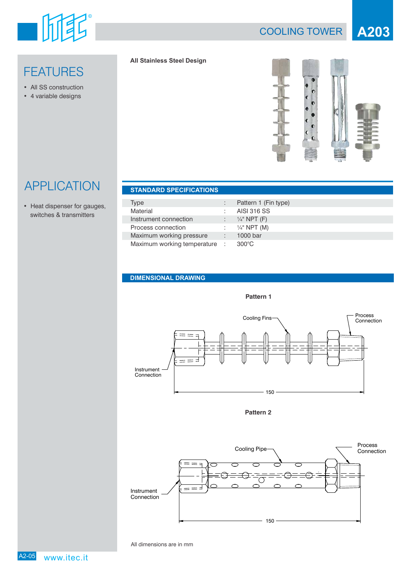

# COOLING TOWER **A203**

# **FEATURES**

- All SS construction
- 4 variable designs

### **All Stainless Steel Design**



# APPLICATION **STANDARD SPECIFICATIONS**

• Heat dispenser for gauges, switches & transmitters

| <b>STANDAIND SELVIL IGATIONS</b> |   |                         |
|----------------------------------|---|-------------------------|
|                                  |   |                         |
| Type                             | ÷ | Pattern 1 (Fin type)    |
| Material                         |   | AISI 316 SS             |
| Instrument connection            |   | $\frac{1}{4}$ " NPT (F) |
| Process connection               |   | : $\frac{1}{4}$ NPT (M) |
| Maximum working pressure         |   | 1000 bar                |
| Maximum working temperature :    |   | $300^{\circ}$ C         |

### **DIMENSIONAL DRAWING**



**Pattern 2**



All dimensions are in mm